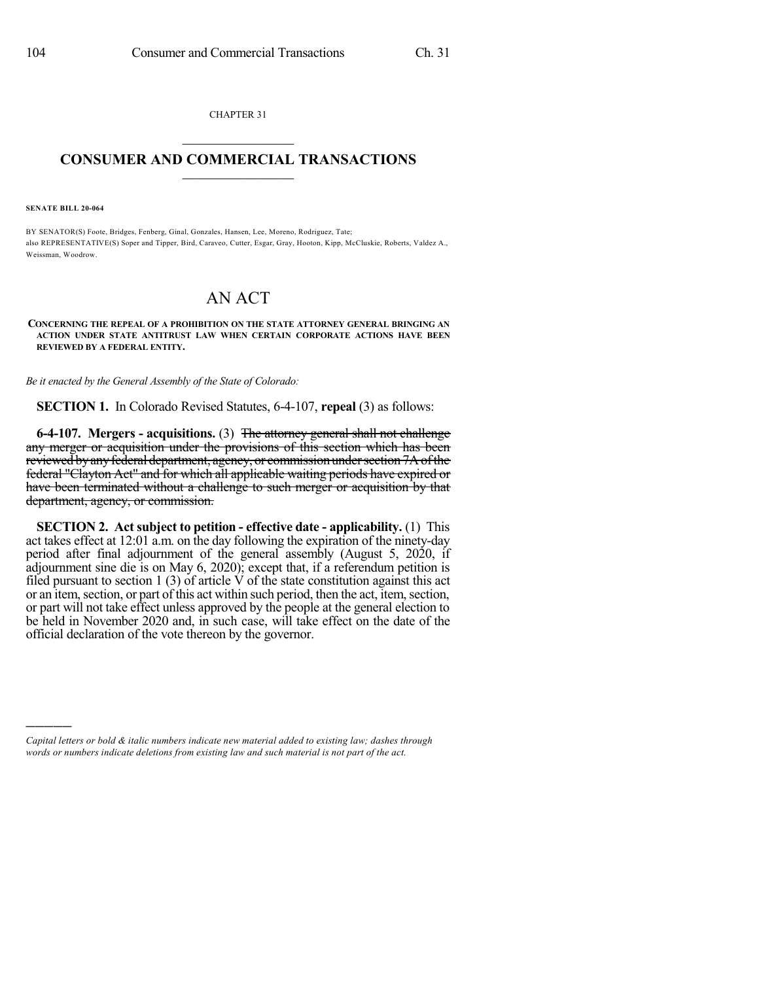CHAPTER 31  $\mathcal{L}_\text{max}$  . The set of the set of the set of the set of the set of the set of the set of the set of the set of the set of the set of the set of the set of the set of the set of the set of the set of the set of the set

## **CONSUMER AND COMMERCIAL TRANSACTIONS**  $\_$   $\_$   $\_$   $\_$   $\_$   $\_$   $\_$   $\_$

**SENATE BILL 20-064**

)))))

BY SENATOR(S) Foote, Bridges, Fenberg, Ginal, Gonzales, Hansen, Lee, Moreno, Rodriguez, Tate; also REPRESENTATIVE(S) Soper and Tipper, Bird, Caraveo, Cutter, Esgar, Gray, Hooton, Kipp, McCluskie, Roberts, Valdez A., Weissman, Woodrow.

## AN ACT

**CONCERNING THE REPEAL OF A PROHIBITION ON THE STATE ATTORNEY GENERAL BRINGING AN ACTION UNDER STATE ANTITRUST LAW WHEN CERTAIN CORPORATE ACTIONS HAVE BEEN REVIEWED BY A FEDERAL ENTITY.**

*Be it enacted by the General Assembly of the State of Colorado:*

**SECTION 1.** In Colorado Revised Statutes, 6-4-107, **repeal** (3) as follows:

**6-4-107. Mergers - acquisitions.** (3) The attorney general shall not challenge any merger or acquisition under the provisions of this section which has been reviewed by any federal department, agency, or commission under section 7A of the federal "Clayton Act" and for which all applicable waiting periods have expired or have been terminated without a challenge to such merger or acquisition by that department, agency, or commission.

**SECTION 2. Act subject to petition - effective date - applicability.** (1) This act takes effect at 12:01 a.m. on the day following the expiration of the ninety-day period after final adjournment of the general assembly (August 5, 2020, if adjournment sine die is on May 6, 2020); except that, if a referendum petition is filed pursuant to section 1 (3) of article  $\acute{V}$  of the state constitution against this act or an item, section, or part of this act within such period, then the act, item, section, or part will not take effect unless approved by the people at the general election to be held in November 2020 and, in such case, will take effect on the date of the official declaration of the vote thereon by the governor.

*Capital letters or bold & italic numbers indicate new material added to existing law; dashes through words or numbers indicate deletions from existing law and such material is not part of the act.*